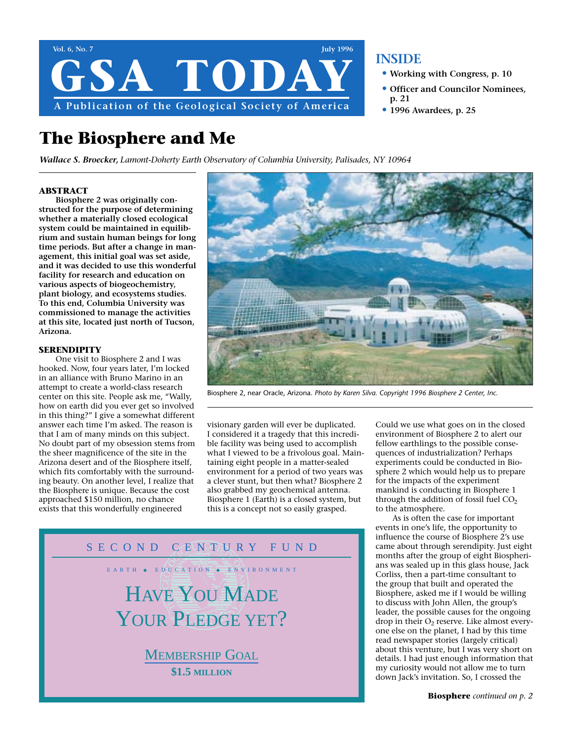

### **The Biosphere and Me**

*Wallace S. Broecker, Lamont-Doherty Earth Observatory of Columbia University, Palisades, NY 10964*

#### **ABSTRACT**

**Biosphere 2 was originally constructed for the purpose of determining whether a materially closed ecological system could be maintained in equilibrium and sustain human beings for long time periods. But after a change in management, this initial goal was set aside, and it was decided to use this wonderful facility for research and education on various aspects of biogeochemistry, plant biology, and ecosystems studies. To this end, Columbia University was commissioned to manage the activities at this site, located just north of Tucson, Arizona.**

### **SERENDIPITY**

One visit to Biosphere 2 and I was hooked. Now, four years later, I'm locked in an alliance with Bruno Marino in an attempt to create a world-class research center on this site. People ask me, "Wally, how on earth did you ever get so involved in this thing?" I give a somewhat different answer each time I'm asked. The reason is that I am of many minds on this subject. No doubt part of my obsession stems from the sheer magnificence of the site in the Arizona desert and of the Biosphere itself, which fits comfortably with the surrounding beauty. On another level, I realize that the Biosphere is unique. Because the cost approached \$150 million, no chance exists that this wonderfully engineered

Biosphere 2, near Oracle, Arizona. *Photo by Karen Silva. Copyright 1996 Biosphere 2 Center, Inc.*

visionary garden will ever be duplicated. I considered it a tragedy that this incredible facility was being used to accomplish what I viewed to be a frivolous goal. Maintaining eight people in a matter-sealed environment for a period of two years was a clever stunt, but then what? Biosphere 2 also grabbed my geochemical antenna. Biosphere 1 (Earth) is a closed system, but this is a concept not so easily grasped.

Could we use what goes on in the closed environment of Biosphere 2 to alert our fellow earthlings to the possible consequences of industrialization? Perhaps experiments could be conducted in Biosphere 2 which would help us to prepare for the impacts of the experiment mankind is conducting in Biosphere 1 through the addition of fossil fuel  $CO<sub>2</sub>$ to the atmosphere.

**• Working with Congress, p. 10 • Officer and Councilor Nominees,**

**• 1996 Awardees, p. 25**

**p. 21**

As is often the case for important events in one's life, the opportunity to influence the course of Biosphere 2's use came about through serendipity. Just eight months after the group of eight Biospherians was sealed up in this glass house, Jack Corliss, then a part-time consultant to the group that built and operated the Biosphere, asked me if I would be willing to discuss with John Allen, the group's leader, the possible causes for the ongoing drop in their  $O_2$  reserve. Like almost everyone else on the planet, I had by this time read newspaper stories (largely critical) about this venture, but I was very short on details. I had just enough information that my curiosity would not allow me to turn down Jack's invitation. So, I crossed the

# SECOND CENTURY FUND EARTH ◆ EDUCATION ◆ ENVIRONMENT HAVE YOU MADE YOUR PLEDGE YET?

MEMBERSHIP GOAL **\$1.5 MILLION**

**Biosphere** *continued on p. 2*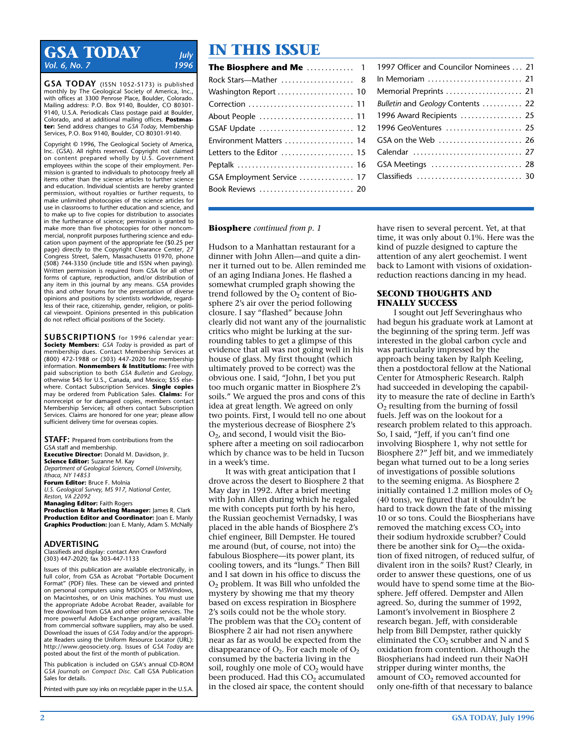### **GSA TODAY** *July*<br>Vol. 6 No. 7 *Vol. 6, No. 7*

**GSA TODAY** (ISSN 1052-5173) is published monthly by The Geological Society of America, Inc., with offices at 3300 Penrose Place, Boulder, Colorado. Mailing address: P.O. Box 9140, Boulder, CO 80301- 9140, U.S.A. Periodicals Class postage paid at Boulder, Colorado, and at additional mailing offices. **Postmaster:** Send address changes to *GSA Today,* Membership Services, P.O. Box 9140, Boulder, CO 80301-9140.

Copyright © 1996, The Geological Society of America, Inc. (GSA). All rights reserved. Copyright not claimed on content prepared wholly by U.S. Government employees within the scope of their employment. Permission is granted to individuals to photocopy freely all items other than the science articles to further science and education. Individual scientists are hereby granted permission, without royalties or further requests, to make unlimited photocopies of the science articles for use in classrooms to further education and science, and to make up to five copies for distribution to associates in the furtherance of science; permission is granted to make more than five photocopies for other noncommercial, nonprofit purposes furthering science and education upon payment of the appropriate fee (\$0.25 per page) directly to the Copyright Clearance Center, 27 Congress Street, Salem, Massachusetts 01970, phone (508) 744-3350 (include title and ISSN when paying). Written permission is required from GSA for all other forms of capture, reproduction, and/or distribution of any item in this journal by any means. GSA provides this and other forums for the presentation of diverse opinions and positions by scientists worldwide, regardless of their race, citizenship, gender, religion, or political viewpoint. Opinions presented in this publication do not reflect official positions of the Society.

**SUBSCRIPTIONS** for 1996 calendar year: **Society Members:** *GSA Today* is provided as part of membership dues. Contact Membership Services at (800) 472-1988 or (303) 447-2020 for membership information. **Nonmembers & Institutions:** Free with paid subscription to both *GSA Bulletin* and *Geology,* otherwise \$45 for U.S., Canada, and Mexico; \$55 elsewhere. Contact Subscription Services. **Single copies** may be ordered from Publication Sales. **Claims:** For nonreceipt or for damaged copies, members contact Membership Services; all others contact Subscription Services. Claims are honored for one year; please allow sufficient delivery time for overseas copies.

**STAFF:** Prepared from contributions from the GSA staff and membership. **Executive Director:** Donald M. Davidson, Jr. **Science Editor:** Suzanne M. Kay *Department of Geological Sciences, Cornell University, Ithaca, NY 14853* **Forum Editor:** Bruce F. Molnia *U.S. Geological Survey, MS 917, National Center, Reston, VA 22092*

**Managing Editor:** Faith Rogers **Production & Marketing Manager:** James R. Clark **Production Editor and Coordinator:** Joan E. Manly **Graphics Production:** Joan E. Manly, Adam S. McNally

#### **ADVERTISING**

Classifieds and display: contact Ann Crawford (303) 447-2020; fax 303-447-1133

Issues of this publication are available electronically, in full color, from GSA as Acrobat "Portable Document Format" (PDF) files. These can be viewed and printed on personal computers using MSDOS or MSWindows, on Macintoshes, or on Unix machines. You must use the appropriate Adobe Acrobat Reader, available for free download from GSA and other online services. The more powerful Adobe Exchange program, available from commercial software suppliers, may also be used. Download the issues of *GSA Today* and/or the appropriate Readers using the Uniform Resource Locator (URL): http://www.geosociety.org. Issues of *GSA Today* are posted about the first of the month of publication.

This publication is included on GSA's annual CD-ROM *GSA Journals on Compact Disc.* Call GSA Publication Sales for details.

Printed with pure soy inks on recyclable paper in the U.S.A.

# **IN THIS ISSUE**

| The Biosphere and Me $\,\ldots\ldots\ldots\,1$ |  |
|------------------------------------------------|--|
| Rock Stars-Mather  8                           |  |
| Washington Report  10                          |  |
| Correction  11                                 |  |
| About People  11                               |  |
| GSAF Update  12                                |  |
| Environment Matters  14                        |  |
| Letters to the Editor  15                      |  |
|                                                |  |
| GSA Employment Service  17                     |  |
| Book Reviews  20                               |  |
|                                                |  |

### 1997 Officer and Councilor Nominees ... 21 In Memoriam . . . . . . . . . . . . . . . . . . . . . . . . . . 21 Memorial Preprints . . . . . . . . . . . . . . . . . . . . . 21 *Bulletin* and *Geology* Contents . . . . . . . . . . . 22 1996 Award Recipients ................. 25 1996 GeoVentures ....................... 25 GSA on the Web ......................... 26 Calendar ................................... 27 GSA Meetings . . . . . . . . . . . . . . . . . . . . . . . . . 28 Classifieds . . . . . . . . . . . . . . . . . . . . . . . . . . . . . 30

#### **Biosphere** *continued from p. 1*

Hudson to a Manhattan restaurant for a dinner with John Allen—and quite a dinner it turned out to be. Allen reminded me of an aging Indiana Jones. He flashed a somewhat crumpled graph showing the trend followed by the  $O<sub>2</sub>$  content of Biosphere 2's air over the period following closure. I say "flashed" because John clearly did not want any of the journalistic critics who might be lurking at the surrounding tables to get a glimpse of this evidence that all was not going well in his house of glass. My first thought (which ultimately proved to be correct) was the obvious one. I said, "John, I bet you put too much organic matter in Biosphere 2's soils." We argued the pros and cons of this idea at great length. We agreed on only two points. First, I would tell no one about the mysterious decrease of Biosphere 2's  $O<sub>2</sub>$ , and second, I would visit the Biosphere after a meeting on soil radiocarbon which by chance was to be held in Tucson in a week's time.

It was with great anticipation that I drove across the desert to Biosphere 2 that May day in 1992. After a brief meeting with John Allen during which he regaled me with concepts put forth by his hero, the Russian geochemist Vernadsky, I was placed in the able hands of Biosphere 2's chief engineer, Bill Dempster. He toured me around (but, of course, not into) the fabulous Biosphere—its power plant, its cooling towers, and its "lungs." Then Bill and I sat down in his office to discuss the O2 problem. It was Bill who unfolded the mystery by showing me that my theory based on excess respiration in Biosphere 2's soils could not be the whole story. The problem was that the  $CO<sub>2</sub>$  content of Biosphere 2 air had not risen anywhere near as far as would be expected from the disappearance of  $O_2$ . For each mole of  $O_2$ consumed by the bacteria living in the soil, roughly one mole of  $CO<sub>2</sub>$  would have been produced. Had this  $CO<sub>2</sub>$  accumulated in the closed air space, the content should have risen to several percent. Yet, at that time, it was only about 0.1%. Here was the kind of puzzle designed to capture the attention of any alert geochemist. I went back to Lamont with visions of oxidationreduction reactions dancing in my head.

#### **SECOND THOUGHTS AND FINALLY SUCCESS**

I sought out Jeff Severinghaus who had begun his graduate work at Lamont at the beginning of the spring term. Jeff was interested in the global carbon cycle and was particularly impressed by the approach being taken by Ralph Keeling, then a postdoctoral fellow at the National Center for Atmospheric Research. Ralph had succeeded in developing the capability to measure the rate of decline in Earth's  $O<sub>2</sub>$  resulting from the burning of fossil fuels. Jeff was on the lookout for a research problem related to this approach. So, I said, "Jeff, if you can't find one involving Biosphere 1, why not settle for Biosphere 2?" Jeff bit, and we immediately began what turned out to be a long series of investigations of possible solutions to the seeming enigma. As Biosphere 2 initially contained 1.2 million moles of  $O<sub>2</sub>$ (40 tons), we figured that it shouldn't be hard to track down the fate of the missing 10 or so tons. Could the Biospherians have removed the matching excess  $CO<sub>2</sub>$  into their sodium hydroxide scrubber? Could there be another sink for  $O_2$ —the oxidation of fixed nitrogen, of reduced sulfur, of divalent iron in the soils? Rust? Clearly, in order to answer these questions, one of us would have to spend some time at the Biosphere. Jeff offered. Dempster and Allen agreed. So, during the summer of 1992, Lamont's involvement in Biosphere 2 research began. Jeff, with considerable help from Bill Dempster, rather quickly eliminated the  $CO<sub>2</sub>$  scrubber and N and S oxidation from contention. Although the Biospherians had indeed run their NaOH stripper during winter months, the amount of CO<sub>2</sub> removed accounted for only one-fifth of that necessary to balance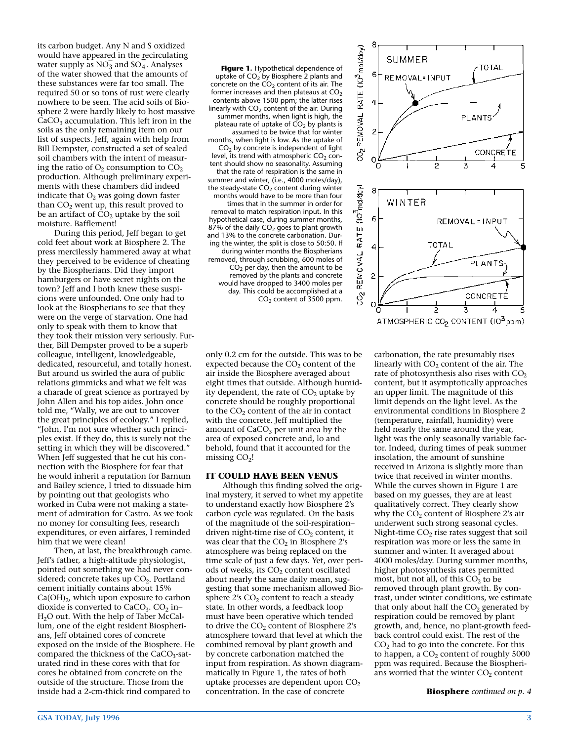its carbon budget. Any N and S oxidized would have appeared in the recirculating would have appeared in the recirculatin<br>water supply as NO<sub>3</sub> and SO<sub>4</sub>. Analyses of the water showed that the amounts of these substances were far too small. The required 50 or so tons of rust were clearly nowhere to be seen. The acid soils of Biosphere 2 were hardly likely to host massive  $CaCO<sub>3</sub>$  accumulation. This left iron in the soils as the only remaining item on our list of suspects. Jeff, again with help from Bill Dempster, constructed a set of sealed soil chambers with the intent of measuring the ratio of  $O_2$  consumption to  $CO_2$ production. Although preliminary experiments with these chambers did indeed indicate that  $O_2$  was going down faster than  $CO<sub>2</sub>$  went up, this result proved to be an artifact of  $CO<sub>2</sub>$  uptake by the soil moisture. Bafflement!

During this period, Jeff began to get cold feet about work at Biosphere 2. The press mercilessly hammered away at what they perceived to be evidence of cheating by the Biospherians. Did they import hamburgers or have secret nights on the town? Jeff and I both knew these suspicions were unfounded. One only had to look at the Biospherians to see that they were on the verge of starvation. One had only to speak with them to know that they took their mission very seriously. Further, Bill Dempster proved to be a superb colleague, intelligent, knowledgeable, dedicated, resourceful, and totally honest. But around us swirled the aura of public relations gimmicks and what we felt was a charade of great science as portrayed by John Allen and his top aides. John once told me, "Wally, we are out to uncover the great principles of ecology." I replied, "John, I'm not sure whether such principles exist. If they do, this is surely not the setting in which they will be discovered." When Jeff suggested that he cut his connection with the Biosphere for fear that he would inherit a reputation for Barnum and Bailey science, I tried to dissuade him by pointing out that geologists who worked in Cuba were not making a statement of admiration for Castro. As we took no money for consulting fees, research expenditures, or even airfares, I reminded him that we were clean!

Then, at last, the breakthrough came. Jeff's father, a high-altitude physiologist, pointed out something we had never considered; concrete takes up  $CO<sub>2</sub>$ . Portland cement initially contains about 15%  $Ca(OH)<sub>2</sub>$ , which upon exposure to carbon dioxide is converted to  $CaCO<sub>3</sub>$ .  $CO<sub>2</sub>$  in– H2O out. With the help of Taber McCallum, one of the eight resident Biospherians, Jeff obtained cores of concrete exposed on the inside of the Biosphere. He compared the thickness of the  $CaCO<sub>3</sub>$ -saturated rind in these cores with that for cores he obtained from concrete on the outside of the structure. Those from the inside had a 2-cm-thick rind compared to

**Figure 1.** Hypothetical dependence of uptake of  $CO<sub>2</sub>$  by Biosphere 2 plants and concrete on the  $CO<sub>2</sub>$  content of its air. The former increases and then plateaus at  $CO<sub>2</sub>$ contents above 1500 ppm; the latter rises linearly with  $CO<sub>2</sub>$  content of the air. During summer months, when light is high, the plateau rate of uptake of  $CO<sub>2</sub>$  by plants is assumed to be twice that for winter months, when light is low. As the uptake of  $CO<sub>2</sub>$  by concrete is independent of light level, its trend with atmospheric  $CO<sub>2</sub>$  content should show no seasonality. Assuming that the rate of respiration is the same in summer and winter, (i.e., 4000 moles/day), the steady-state  $CO<sub>2</sub>$  content during winter months would have to be more than four times that in the summer in order for removal to match respiration input. In this hypothetical case, during summer months, 87% of the daily  $CO<sub>2</sub>$  goes to plant growth and 13% to the concrete carbonation. During the winter, the split is close to 50:50. If during winter months the Biospherians removed, through scrubbing, 600 moles of  $CO<sub>2</sub>$  per day, then the amount to be removed by the plants and concrete would have dropped to 3400 moles per day. This could be accomplished at a CO2 content of 3500 ppm.

only 0.2 cm for the outside. This was to be expected because the  $CO<sub>2</sub>$  content of the air inside the Biosphere averaged about eight times that outside. Although humidity dependent, the rate of  $CO<sub>2</sub>$  uptake by concrete should be roughly proportional to the  $CO<sub>2</sub>$  content of the air in contact with the concrete. Jeff multiplied the amount of  $CaCO<sub>3</sub>$  per unit area by the area of exposed concrete and, lo and behold, found that it accounted for the missing  $CO<sub>2</sub>$ !

#### **IT COULD HAVE BEEN VENUS**

Although this finding solved the original mystery, it served to whet my appetite to understand exactly how Biosphere 2's carbon cycle was regulated. On the basis of the magnitude of the soil-respiration– driven night-time rise of  $CO<sub>2</sub>$  content, it was clear that the  $CO<sub>2</sub>$  in Biosphere 2's atmosphere was being replaced on the time scale of just a few days. Yet, over periods of weeks, its  $CO<sub>2</sub>$  content oscillated about nearly the same daily mean, suggesting that some mechanism allowed Biosphere  $2$ 's  $CO<sub>2</sub>$  content to reach a steady state. In other words, a feedback loop must have been operative which tended to drive the  $CO<sub>2</sub>$  content of Biosphere 2's atmosphere toward that level at which the combined removal by plant growth and by concrete carbonation matched the input from respiration. As shown diagrammatically in Figure 1, the rates of both uptake processes are dependent upon  $CO<sub>2</sub>$ concentration. In the case of concrete



carbonation, the rate presumably rises linearly with  $CO<sub>2</sub>$  content of the air. The rate of photosynthesis also rises with  $CO<sub>2</sub>$ content, but it asymptotically approaches an upper limit. The magnitude of this limit depends on the light level. As the environmental conditions in Biosphere 2 (temperature, rainfall, humidity) were held nearly the same around the year, light was the only seasonally variable factor. Indeed, during times of peak summer insolation, the amount of sunshine received in Arizona is slightly more than twice that received in winter months. While the curves shown in Figure 1 are based on my guesses, they are at least qualitatively correct. They clearly show why the  $CO<sub>2</sub>$  content of Biosphere 2's air underwent such strong seasonal cycles. Night-time  $CO<sub>2</sub>$  rise rates suggest that soil respiration was more or less the same in summer and winter. It averaged about 4000 moles/day. During summer months, higher photosynthesis rates permitted most, but not all, of this  $CO<sub>2</sub>$  to be removed through plant growth. By contrast, under winter conditions, we estimate that only about half the  $CO<sub>2</sub>$  generated by respiration could be removed by plant growth, and, hence, no plant-growth feedback control could exist. The rest of the  $CO<sub>2</sub>$  had to go into the concrete. For this to happen, a  $CO<sub>2</sub>$  content of roughly 5000 ppm was required. Because the Biospherians worried that the winter  $CO<sub>2</sub>$  content

**Biosphere** *continued on p. 4*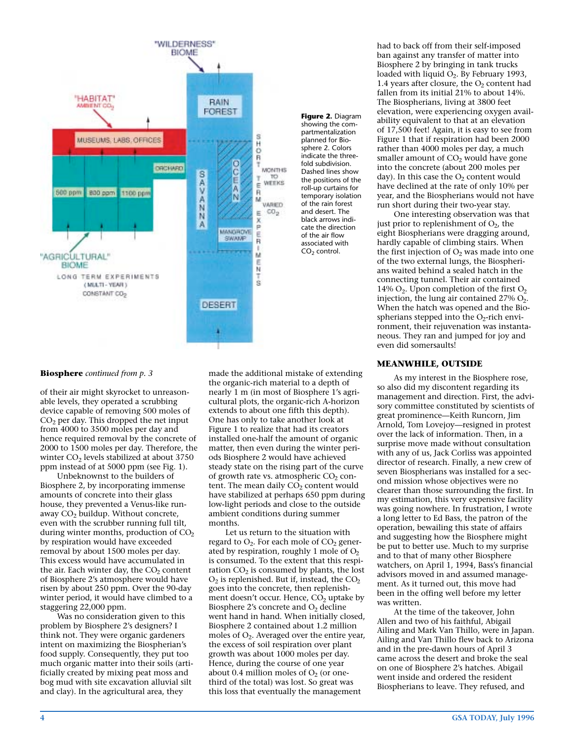

**Figure 2.** Diagram showing the compartmentalization planned for Bio-.<br>sphere 2. Colors indicate the threefold subdivision. Dashed lines show the positions of the roll-up curtains for temporary isolation of the rain forest and desert. The black arrows indicate the direction of the air flow associated with  $CO<sub>2</sub>$  control.

#### **Biosphere** *continued from p. 3*

of their air might skyrocket to unreasonable levels, they operated a scrubbing device capable of removing 500 moles of  $CO<sub>2</sub>$  per day. This dropped the net input from 4000 to 3500 moles per day and hence required removal by the concrete of 2000 to 1500 moles per day. Therefore, the winter  $CO<sub>2</sub>$  levels stabilized at about 3750 ppm instead of at 5000 ppm (see Fig. 1).

Unbeknownst to the builders of Biosphere 2, by incorporating immense amounts of concrete into their glass house, they prevented a Venus-like runaway  $CO<sub>2</sub>$  buildup. Without concrete, even with the scrubber running full tilt, during winter months, production of  $CO<sub>2</sub>$ by respiration would have exceeded removal by about 1500 moles per day. This excess would have accumulated in the air. Each winter day, the  $CO<sub>2</sub>$  content of Biosphere 2's atmosphere would have risen by about 250 ppm. Over the 90-day winter period, it would have climbed to a staggering 22,000 ppm.

Was no consideration given to this problem by Biosphere 2's designers? I think not. They were organic gardeners intent on maximizing the Biospherian's food supply. Consequently, they put too much organic matter into their soils (artificially created by mixing peat moss and bog mud with site excavation alluvial silt and clay). In the agricultural area, they

made the additional mistake of extending the organic-rich material to a depth of nearly 1 m (in most of Biosphere 1's agricultural plots, the organic-rich A-horizon extends to about one fifth this depth). One has only to take another look at Figure 1 to realize that had its creators installed one-half the amount of organic matter, then even during the winter periods Biosphere 2 would have achieved steady state on the rising part of the curve of growth rate vs. atmospheric  $CO<sub>2</sub>$  content. The mean daily  $CO<sub>2</sub>$  content would have stabilized at perhaps 650 ppm during low-light periods and close to the outside ambient conditions during summer months.

Let us return to the situation with regard to  $O_2$ . For each mole of  $CO_2$  generated by respiration, roughly 1 mole of  $O<sub>2</sub>$ is consumed. To the extent that this respiration  $CO<sub>2</sub>$  is consumed by plants, the lost  $O_2$  is replenished. But if, instead, the  $CO_2$ goes into the concrete, then replenishment doesn't occur. Hence,  $CO<sub>2</sub>$  uptake by Biosphere 2's concrete and  $O<sub>2</sub>$  decline went hand in hand. When initially closed, Biosphere 2 contained about 1.2 million moles of  $O_2$ . Averaged over the entire year, the excess of soil respiration over plant growth was about 1000 moles per day. Hence, during the course of one year about 0.4 million moles of  $O<sub>2</sub>$  (or onethird of the total) was lost. So great was this loss that eventually the management

had to back off from their self-imposed ban against any transfer of matter into Biosphere 2 by bringing in tank trucks loaded with liquid  $O_2$ . By February 1993, 1.4 years after closure, the  $O<sub>2</sub>$  content had fallen from its initial 21% to about 14%. The Biospherians, living at 3800 feet elevation, were experiencing oxygen availability equivalent to that at an elevation of 17,500 feet! Again, it is easy to see from Figure 1 that if respiration had been 2000 rather than 4000 moles per day, a much smaller amount of  $CO<sub>2</sub>$  would have gone into the concrete (about 200 moles per day). In this case the  $O<sub>2</sub>$  content would have declined at the rate of only 10% per year, and the Biospherians would not have run short during their two-year stay.

One interesting observation was that just prior to replenishment of  $O<sub>2</sub>$ , the eight Biospherians were dragging around, hardly capable of climbing stairs. When the first injection of  $O_2$  was made into one of the two external lungs, the Biospherians waited behind a sealed hatch in the connecting tunnel. Their air contained 14%  $O_2$ . Upon completion of the first  $O_2$ injection, the lung air contained  $27\%$  O<sub>2</sub>. When the hatch was opened and the Biospherians stepped into the  $O_2$ -rich environment, their rejuvenation was instantaneous. They ran and jumped for joy and even did somersaults!

#### **MEANWHILE, OUTSIDE**

As my interest in the Biosphere rose, so also did my discontent regarding its management and direction. First, the advisory committee constituted by scientists of great prominence—Keith Runcorn, Jim Arnold, Tom Lovejoy—resigned in protest over the lack of information. Then, in a surprise move made without consultation with any of us, Jack Corliss was appointed director of research. Finally, a new crew of seven Biospherians was installed for a second mission whose objectives were no clearer than those surrounding the first. In my estimation, this very expensive facility was going nowhere. In frustration, I wrote a long letter to Ed Bass, the patron of the operation, bewailing this state of affairs and suggesting how the Biosphere might be put to better use. Much to my surprise and to that of many other Biosphere watchers, on April 1, 1994, Bass's financial advisors moved in and assumed management. As it turned out, this move had been in the offing well before my letter was written.

At the time of the takeover, John Allen and two of his faithful, Abigail Ailing and Mark Van Thillo, were in Japan. Ailing and Van Thillo flew back to Arizona and in the pre-dawn hours of April 3 came across the desert and broke the seal on one of Biosphere 2's hatches. Abigail went inside and ordered the resident Biospherians to leave. They refused, and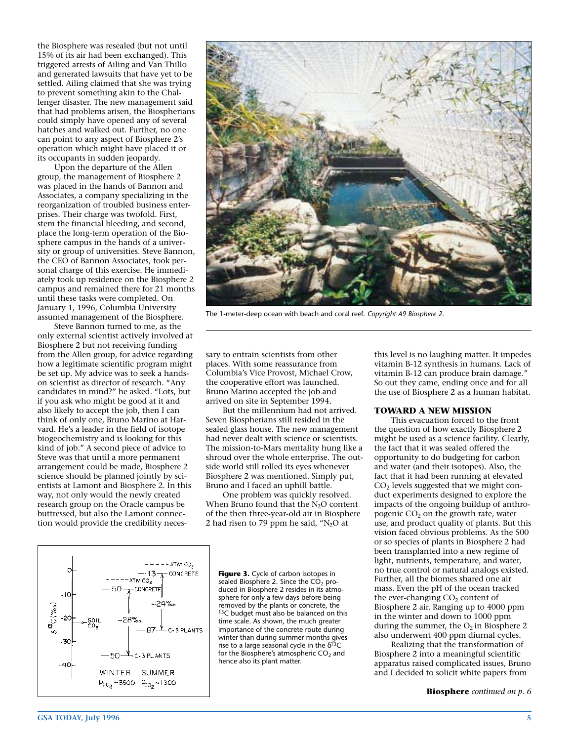the Biosphere was resealed (but not until 15% of its air had been exchanged). This triggered arrests of Ailing and Van Thillo and generated lawsuits that have yet to be settled. Ailing claimed that she was trying to prevent something akin to the Challenger disaster. The new management said that had problems arisen, the Biospherians could simply have opened any of several hatches and walked out. Further, no one can point to any aspect of Biosphere 2's operation which might have placed it or its occupants in sudden jeopardy.

Upon the departure of the Allen group, the management of Biosphere 2 was placed in the hands of Bannon and Associates, a company specializing in the reorganization of troubled business enterprises. Their charge was twofold. First, stem the financial bleeding, and second, place the long-term operation of the Biosphere campus in the hands of a university or group of universities. Steve Bannon, the CEO of Bannon Associates, took personal charge of this exercise. He immediately took up residence on the Biosphere 2 campus and remained there for 21 months until these tasks were completed. On January 1, 1996, Columbia University assumed management of the Biosphere.

Steve Bannon turned to me, as the only external scientist actively involved at Biosphere 2 but not receiving funding from the Allen group, for advice regarding how a legitimate scientific program might be set up. My advice was to seek a handson scientist as director of research. "Any candidates in mind?" he asked. "Lots, but if you ask who might be good at it and also likely to accept the job, then I can think of only one, Bruno Marino at Harvard. He's a leader in the field of isotope biogeochemistry and is looking for this kind of job." A second piece of advice to Steve was that until a more permanent arrangement could be made, Biosphere 2 science should be planned jointly by scientists at Lamont and Biosphere 2. In this way, not only would the newly created research group on the Oracle campus be buttressed, but also the Lamont connection would provide the credibility neces-



The 1-meter-deep ocean with beach and coral reef. *Copyright A9 Biosphere 2*.

sary to entrain scientists from other places. With some reassurance from Columbia's Vice Provost, Michael Crow, the cooperative effort was launched. Bruno Marino accepted the job and arrived on site in September 1994.

But the millennium had not arrived. Seven Biospherians still resided in the sealed glass house. The new management had never dealt with science or scientists. The mission-to-Mars mentality hung like a shroud over the whole enterprise. The outside world still rolled its eyes whenever Biosphere 2 was mentioned. Simply put, Bruno and I faced an uphill battle.

One problem was quickly resolved. When Bruno found that the  $N_2O$  content of the then three-year-old air in Biosphere 2 had risen to 79 ppm he said, " $N_2O$  at



**Figure 3.** Cycle of carbon isotopes in sealed Biosphere 2. Since the  $CO<sub>2</sub>$  produced in Biosphere 2 resides in its atmosphere for only a few days before being removed by the plants or concrete, the 13C budget must also be balanced on this time scale. As shown, the much greater importance of the concrete route during winter than during summer months gives rise to a large seasonal cycle in the  $\delta^{13}C$ for the Biosphere's atmospheric  $CO<sub>2</sub>$  and hence also its plant matter.

this level is no laughing matter. It impedes vitamin B-12 synthesis in humans. Lack of vitamin B-12 can produce brain damage." So out they came, ending once and for all the use of Biosphere 2 as a human habitat.

#### **TOWARD A NEW MISSION**

This evacuation forced to the front the question of how exactly Biosphere 2 might be used as a science facility. Clearly, the fact that it was sealed offered the opportunity to do budgeting for carbon and water (and their isotopes). Also, the fact that it had been running at elevated CO<sub>2</sub> levels suggested that we might conduct experiments designed to explore the impacts of the ongoing buildup of anthropogenic  $CO<sub>2</sub>$  on the growth rate, water use, and product quality of plants. But this vision faced obvious problems. As the 500 or so species of plants in Biosphere 2 had been transplanted into a new regime of light, nutrients, temperature, and water, no true control or natural analogs existed. Further, all the biomes shared one air mass. Even the pH of the ocean tracked the ever-changing  $CO<sub>2</sub>$  content of Biosphere 2 air. Ranging up to 4000 ppm in the winter and down to 1000 ppm during the summer, the  $O_2$  in Biosphere 2 also underwent 400 ppm diurnal cycles.

Realizing that the transformation of Biosphere 2 into a meaningful scientific apparatus raised complicated issues, Bruno and I decided to solicit white papers from

**Biosphere** *continued on p. 6*

co,

 $P_{CO_2} \sim 3500$   $P_{CO_2} \sim 1300$ 

 $-10$ 

-30

13<sub>C (%0</sub>)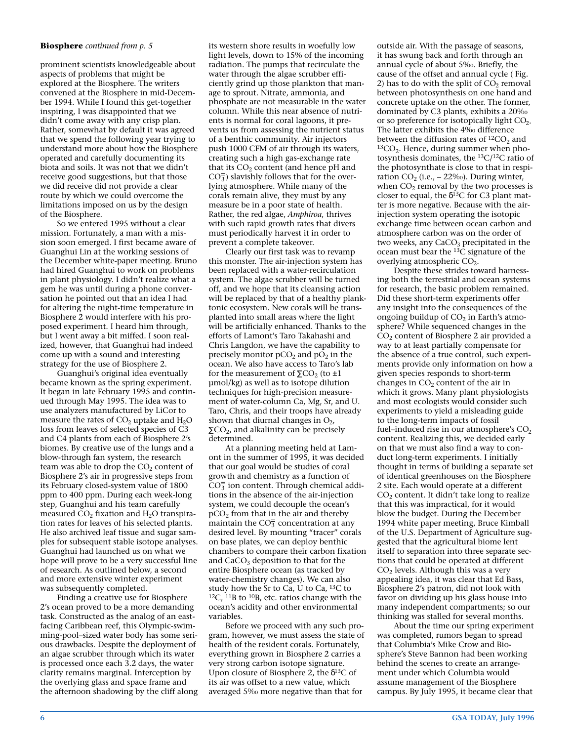#### **Biosphere** *continued from p. 5*

prominent scientists knowledgeable about aspects of problems that might be explored at the Biosphere. The writers convened at the Biosphere in mid-December 1994. While I found this get-together inspiring, I was disappointed that we didn't come away with any crisp plan. Rather, somewhat by default it was agreed that we spend the following year trying to understand more about how the Biosphere operated and carefully documenting its biota and soils. It was not that we didn't receive good suggestions, but that those we did receive did not provide a clear route by which we could overcome the limitations imposed on us by the design of the Biosphere.

So we entered 1995 without a clear mission. Fortunately, a man with a mission soon emerged. I first became aware of Guanghui Lin at the working sessions of the December white-paper meeting. Bruno had hired Guanghui to work on problems in plant physiology. I didn't realize what a gem he was until during a phone conversation he pointed out that an idea I had for altering the night-time temperature in Biosphere 2 would interfere with his proposed experiment. I heard him through, but I went away a bit miffed. I soon realized, however, that Guanghui had indeed come up with a sound and interesting strategy for the use of Biosphere 2.

Guanghui's original idea eventually became known as the spring experiment. It began in late February 1995 and continued through May 1995. The idea was to use analyzers manufactured by LiCor to measure the rates of  $CO<sub>2</sub>$  uptake and  $H<sub>2</sub>O$ loss from leaves of selected species of C3 and C4 plants from each of Biosphere 2's biomes. By creative use of the lungs and a blow-through fan system, the research team was able to drop the  $CO<sub>2</sub>$  content of Biosphere 2's air in progressive steps from its February closed-system value of 1800 ppm to 400 ppm. During each week-long step, Guanghui and his team carefully measured  $CO<sub>2</sub>$  fixation and  $H<sub>2</sub>O$  transpiration rates for leaves of his selected plants. He also archived leaf tissue and sugar samples for subsequent stable isotope analyses. Guanghui had launched us on what we hope will prove to be a very successful line of research. As outlined below, a second and more extensive winter experiment was subsequently completed.

Finding a creative use for Biosphere 2's ocean proved to be a more demanding task. Constructed as the analog of an eastfacing Caribbean reef, this Olympic-swimming-pool–sized water body has some serious drawbacks. Despite the deployment of an algae scrubber through which its water is processed once each 3.2 days, the water clarity remains marginal. Interception by the overlying glass and space frame and the afternoon shadowing by the cliff along its western shore results in woefully low light levels, down to 15% of the incoming radiation. The pumps that recirculate the water through the algae scrubber efficiently grind up those plankton that manage to sprout. Nitrate, ammonia, and phosphate are not measurable in the water column. While this near absence of nutrients is normal for coral lagoons, it prevents us from assessing the nutrient status of a benthic community. Air injectors push 1000 CFM of air through its waters, creating such a high gas-exchange rate that its  $CO<sub>2</sub>$  content (and hence pH and  $CO<sub>3</sub><sup>+</sup>$ ) slavishly follows that for the overlying atmosphere. While many of the corals remain alive, they must by any measure be in a poor state of health. Rather, the red algae, *Amphiroa*, thrives with such rapid growth rates that divers must periodically harvest it in order to prevent a complete takeover.

Clearly our first task was to revamp this monster. The air-injection system has been replaced with a water-recirculation system. The algae scrubber will be turned off, and we hope that its cleansing action will be replaced by that of a healthy planktonic ecosystem. New corals will be transplanted into small areas where the light will be artificially enhanced. Thanks to the efforts of Lamont's Taro Takahashi and Chris Langdon, we have the capability to precisely monitor  $pCO<sub>2</sub>$  and  $pO<sub>2</sub>$  in the ocean. We also have access to Taro's lab for the measurement of  $\Sigma$ CO<sub>2</sub> (to ±1 µmol/kg) as well as to isotope dilution techniques for high-precision measurement of water-column Ca, Mg, Sr, and U. Taro, Chris, and their troops have already shown that diurnal changes in  $O_2$ ,  $\Sigma$ CO<sub>2</sub>, and alkalinity can be precisely determined.

At a planning meeting held at Lamont in the summer of 1995, it was decided that our goal would be studies of coral growth and chemistry as a function of  $CO<sub>3</sub><sup>+</sup>$  ion content. Through chemical additions in the absence of the air-injection system, we could decouple the ocean's  $pCO<sub>2</sub>$  from that in the air and thereby maintain the CO $\frac{1}{3}$  concentration at any desired level. By mounting "tracer" corals on base plates, we can deploy benthic chambers to compare their carbon fixation and  $CaCO<sub>3</sub>$  deposition to that for the entire Biosphere ocean (as tracked by water-chemistry changes). We can also study how the Sr to Ca, U to Ca, 13C to  $12C$ ,  $11B$  to  $10B$ , etc. ratios change with the ocean's acidity and other environmental variables.

Before we proceed with any such program, however, we must assess the state of health of the resident corals. Fortunately, everything grown in Biosphere 2 carries a very strong carbon isotope signature. Upon closure of Biosphere 2, the  $\delta^{13}$ C of its air was offset to a new value, which averaged 5‰ more negative than that for

outside air. With the passage of seasons, it has swung back and forth through an annual cycle of about 5‰. Briefly, the cause of the offset and annual cycle ( Fig. 2) has to do with the split of  $CO<sub>2</sub>$  removal between photosynthesis on one hand and concrete uptake on the other. The former, dominated by C3 plants, exhibits a 20‰ or so preference for isotopically light  $CO<sub>2</sub>$ . The latter exhibits the 4‰ difference between the diffusion rates of  ${}^{12}CO_2$  and  ${}^{13}CO_2$ . Hence, during summer when photosynthesis dominates, the 13C/12C ratio of the photosynthate is close to that in respiration  $CO<sub>2</sub>$  (i.e.,  $-22\%$ ). During winter, when  $CO<sub>2</sub>$  removal by the two processes is closer to equal, the  $\delta^{13}$ C for C3 plant matter is more negative. Because with the airinjection system operating the isotopic exchange time between ocean carbon and atmosphere carbon was on the order of two weeks, any CaCO<sub>3</sub> precipitated in the ocean must bear the  $^{13}$ C signature of the overlying atmospheric CO<sub>2</sub>.

Despite these strides toward harnessing both the terrestrial and ocean systems for research, the basic problem remained. Did these short-term experiments offer any insight into the consequences of the ongoing buildup of  $CO<sub>2</sub>$  in Earth's atmosphere? While sequenced changes in the  $CO<sub>2</sub>$  content of Biosphere 2 air provided a way to at least partially compensate for the absence of a true control, such experiments provide only information on how a given species responds to short-term changes in  $CO<sub>2</sub>$  content of the air in which it grows. Many plant physiologists and most ecologists would consider such experiments to yield a misleading guide to the long-term impacts of fossil fuel–induced rise in our atmosphere's  $CO<sub>2</sub>$ content. Realizing this, we decided early on that we must also find a way to conduct long-term experiments. I initially thought in terms of building a separate set of identical greenhouses on the Biosphere 2 site. Each would operate at a different  $CO<sub>2</sub>$  content. It didn't take long to realize that this was impractical, for it would blow the budget. During the December 1994 white paper meeting, Bruce Kimball of the U.S. Department of Agriculture suggested that the agricultural biome lent itself to separation into three separate sections that could be operated at different  $CO<sub>2</sub>$  levels. Although this was a very appealing idea, it was clear that Ed Bass, Biosphere 2's patron, did not look with favor on dividing up his glass house into many independent compartments; so our thinking was stalled for several months.

About the time our spring experiment was completed, rumors began to spread that Columbia's Mike Crow and Biosphere's Steve Bannon had been working behind the scenes to create an arrangement under which Columbia would assume management of the Biosphere campus. By July 1995, it became clear that